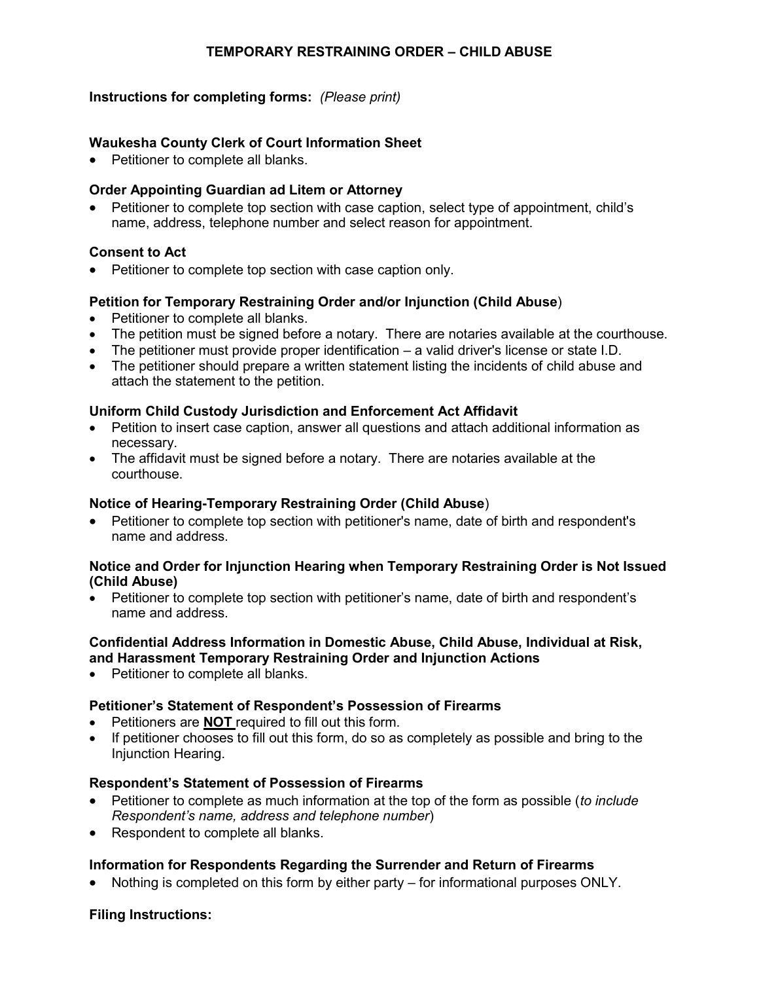## **TEMPORARY RESTRAINING ORDER – CHILD ABUSE**

## **Instructions for completing forms:** *(Please print)*

## **Waukesha County Clerk of Court Information Sheet**

• Petitioner to complete all blanks.

## **Order Appointing Guardian ad Litem or Attorney**

 Petitioner to complete top section with case caption, select type of appointment, child's name, address, telephone number and select reason for appointment.

#### **Consent to Act**

Petitioner to complete top section with case caption only.

#### **Petition for Temporary Restraining Order and/or Injunction (Child Abuse**)

- Petitioner to complete all blanks.
- The petition must be signed before a notary. There are notaries available at the courthouse.
- The petitioner must provide proper identification a valid driver's license or state I.D.
- The petitioner should prepare a written statement listing the incidents of child abuse and attach the statement to the petition.

#### **Uniform Child Custody Jurisdiction and Enforcement Act Affidavit**

- Petition to insert case caption, answer all questions and attach additional information as necessary.
- The affidavit must be signed before a notary. There are notaries available at the courthouse.

#### **Notice of Hearing-Temporary Restraining Order (Child Abuse**)

 Petitioner to complete top section with petitioner's name, date of birth and respondent's name and address.

#### **Notice and Order for Injunction Hearing when Temporary Restraining Order is Not Issued (Child Abuse)**

 Petitioner to complete top section with petitioner's name, date of birth and respondent's name and address.

## **Confidential Address Information in Domestic Abuse, Child Abuse, Individual at Risk, and Harassment Temporary Restraining Order and Injunction Actions**

• Petitioner to complete all blanks.

## **Petitioner's Statement of Respondent's Possession of Firearms**

- Petitioners are **NOT** required to fill out this form.
- If petitioner chooses to fill out this form, do so as completely as possible and bring to the Injunction Hearing.

#### **Respondent's Statement of Possession of Firearms**

- Petitioner to complete as much information at the top of the form as possible (*to include Respondent's name, address and telephone number*)
- Respondent to complete all blanks.

## **Information for Respondents Regarding the Surrender and Return of Firearms**

Nothing is completed on this form by either party – for informational purposes ONLY.

#### **Filing Instructions:**